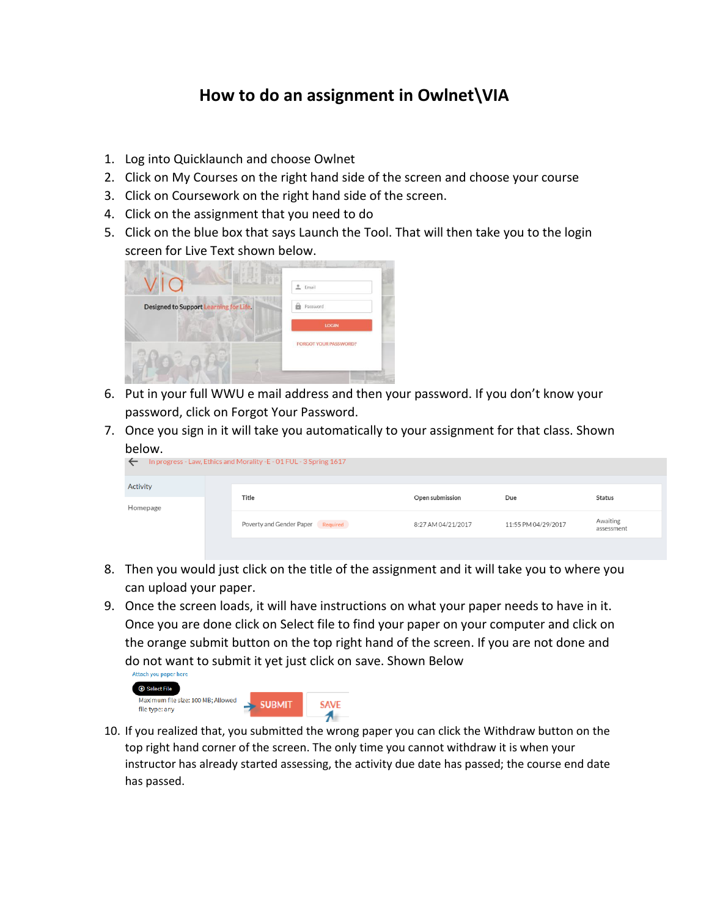## **How to do an assignment in Owlnet\VIA**

- 1. Log into Quicklaunch and choose Owlnet
- 2. Click on My Courses on the right hand side of the screen and choose your course
- 3. Click on Coursework on the right hand side of the screen.
- 4. Click on the assignment that you need to do
- 5. Click on the blue box that says Launch the Tool. That will then take you to the login screen for Live Text shown below.

|                                        | $en$ Email                   |  |
|----------------------------------------|------------------------------|--|
| Designed to Support Learning for Life. | Password<br>临                |  |
|                                        | <b>LOGIN</b>                 |  |
|                                        | <b>FORGOT YOUR PASSWORD?</b> |  |
|                                        |                              |  |

- 6. Put in your full WWU e mail address and then your password. If you don't know your password, click on Forgot Your Password.
- 7. Once you sign in it will take you automatically to your assignment for that class. Shown below.

| In progress - Law, Ethics and Morality - E - 01 FUL - 3 Spring 1617<br>$\leftarrow$ |  |                                   |                    |                     |                        |  |  |
|-------------------------------------------------------------------------------------|--|-----------------------------------|--------------------|---------------------|------------------------|--|--|
| Activity                                                                            |  | Title                             |                    |                     |                        |  |  |
| Homepage                                                                            |  |                                   | Open submission    | Due                 | Status                 |  |  |
|                                                                                     |  | Poverty and Gender Paper Required | 8:27 AM 04/21/2017 | 11:55 PM 04/29/2017 | Awaiting<br>assessment |  |  |
|                                                                                     |  |                                   |                    |                     |                        |  |  |

- 8. Then you would just click on the title of the assignment and it will take you to where you can upload your paper.
- 9. Once the screen loads, it will have instructions on what your paper needs to have in it. Once you are done click on Select file to find your paper on your computer and click on the orange submit button on the top right hand of the screen. If you are not done and do not want to submit it yet just click on save. Shown Below



10. If you realized that, you submitted the wrong paper you can click the Withdraw button on the top right hand corner of the screen. The only time you cannot withdraw it is when your instructor has already started assessing, the activity due date has passed; the course end date has passed.